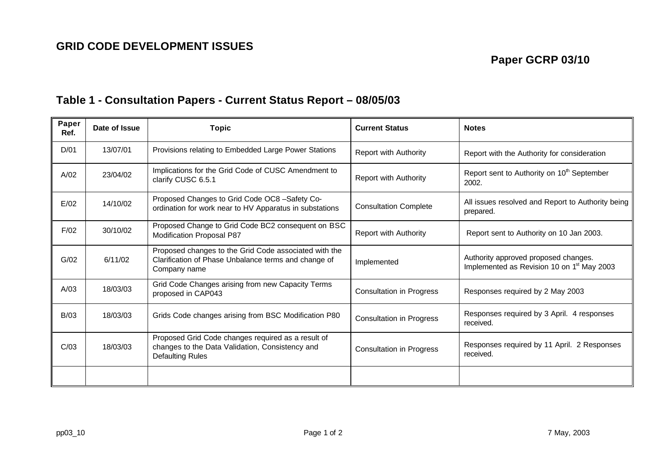## **Table 1 - Consultation Papers - Current Status Report – 08/05/03**

| Paper<br>Ref. | Date of Issue | <b>Topic</b>                                                                                                                     | <b>Current Status</b>           | <b>Notes</b>                                                                                   |  |
|---------------|---------------|----------------------------------------------------------------------------------------------------------------------------------|---------------------------------|------------------------------------------------------------------------------------------------|--|
| D/01          | 13/07/01      | Provisions relating to Embedded Large Power Stations                                                                             | <b>Report with Authority</b>    | Report with the Authority for consideration                                                    |  |
| A/02          | 23/04/02      | Implications for the Grid Code of CUSC Amendment to<br>clarify CUSC 6.5.1                                                        | Report with Authority           | Report sent to Authority on 10 <sup>th</sup> September<br>2002.                                |  |
| E/02          | 14/10/02      | Proposed Changes to Grid Code OC8 -Safety Co-<br>ordination for work near to HV Apparatus in substations                         | <b>Consultation Complete</b>    | All issues resolved and Report to Authority being<br>prepared.                                 |  |
| F/02          | 30/10/02      | Proposed Change to Grid Code BC2 consequent on BSC<br>Modification Proposal P87                                                  | <b>Report with Authority</b>    | Report sent to Authority on 10 Jan 2003.                                                       |  |
| G/02          | 6/11/02       | Proposed changes to the Grid Code associated with the<br>Clarification of Phase Unbalance terms and change of<br>Company name    | Implemented                     | Authority approved proposed changes.<br>Implemented as Revision 10 on 1 <sup>st</sup> May 2003 |  |
| A/03          | 18/03/03      | Grid Code Changes arising from new Capacity Terms<br>proposed in CAP043                                                          | <b>Consultation in Progress</b> | Responses required by 2 May 2003                                                               |  |
| B/03          | 18/03/03      | Grids Code changes arising from BSC Modification P80                                                                             | <b>Consultation in Progress</b> | Responses required by 3 April. 4 responses<br>received.                                        |  |
| C/03          | 18/03/03      | Proposed Grid Code changes required as a result of<br>changes to the Data Validation, Consistency and<br><b>Defaulting Rules</b> | <b>Consultation in Progress</b> | Responses required by 11 April. 2 Responses<br>received.                                       |  |
|               |               |                                                                                                                                  |                                 |                                                                                                |  |